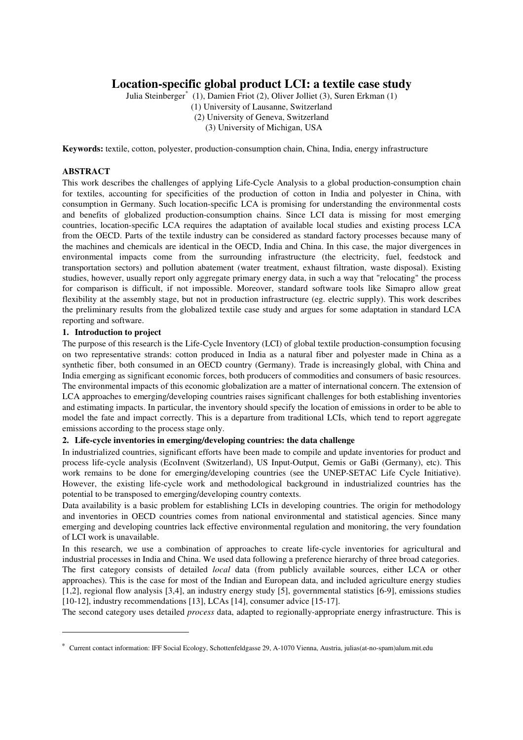# **Location-specific global product LCI: a textile case study**

Julia Steinberger\* (1), Damien Friot (2), Oliver Jolliet (3), Suren Erkman (1) (1) University of Lausanne, Switzerland (2) University of Geneva, Switzerland (3) University of Michigan, USA

**Keywords:** textile, cotton, polyester, production-consumption chain, China, India, energy infrastructure

# **ABSTRACT**

This work describes the challenges of applying Life-Cycle Analysis to a global production-consumption chain for textiles, accounting for specificities of the production of cotton in India and polyester in China, with consumption in Germany. Such location-specific LCA is promising for understanding the environmental costs and benefits of globalized production-consumption chains. Since LCI data is missing for most emerging countries, location-specific LCA requires the adaptation of available local studies and existing process LCA from the OECD. Parts of the textile industry can be considered as standard factory processes because many of the machines and chemicals are identical in the OECD, India and China. In this case, the major divergences in environmental impacts come from the surrounding infrastructure (the electricity, fuel, feedstock and transportation sectors) and pollution abatement (water treatment, exhaust filtration, waste disposal). Existing studies, however, usually report only aggregate primary energy data, in such a way that "relocating" the process for comparison is difficult, if not impossible. Moreover, standard software tools like Simapro allow great flexibility at the assembly stage, but not in production infrastructure (eg. electric supply). This work describes the preliminary results from the globalized textile case study and argues for some adaptation in standard LCA reporting and software.

# **1. Introduction to project**

The purpose of this research is the Life-Cycle Inventory (LCI) of global textile production-consumption focusing on two representative strands: cotton produced in India as a natural fiber and polyester made in China as a synthetic fiber, both consumed in an OECD country (Germany). Trade is increasingly global, with China and India emerging as significant economic forces, both producers of commodities and consumers of basic resources. The environmental impacts of this economic globalization are a matter of international concern. The extension of LCA approaches to emerging/developing countries raises significant challenges for both establishing inventories and estimating impacts. In particular, the inventory should specify the location of emissions in order to be able to model the fate and impact correctly. This is a departure from traditional LCIs, which tend to report aggregate emissions according to the process stage only.

# **2. Life-cycle inventories in emerging/developing countries: the data challenge**

In industrialized countries, significant efforts have been made to compile and update inventories for product and process life-cycle analysis (EcoInvent (Switzerland), US Input-Output, Gemis or GaBi (Germany), etc). This work remains to be done for emerging/developing countries (see the UNEP-SETAC Life Cycle Initiative). However, the existing life-cycle work and methodological background in industrialized countries has the potential to be transposed to emerging/developing country contexts.

Data availability is a basic problem for establishing LCIs in developing countries. The origin for methodology and inventories in OECD countries comes from national environmental and statistical agencies. Since many emerging and developing countries lack effective environmental regulation and monitoring, the very foundation of LCI work is unavailable.

In this research, we use a combination of approaches to create life-cycle inventories for agricultural and industrial processes in India and China. We used data following a preference hierarchy of three broad categories. The first category consists of detailed *local* data (from publicly available sources, either LCA or other approaches). This is the case for most of the Indian and European data, and included agriculture energy studies [1,2], regional flow analysis [3,4], an industry energy study [5], governmental statistics [6-9], emissions studies [10-12], industry recommendations [13], LCAs [14], consumer advice [15-17].

The second category uses detailed *process* data, adapted to regionally-appropriate energy infrastructure. This is

Current contact information: IFF Social Ecology, Schottenfeldgasse 29, A-1070 Vienna, Austria, julias(at-no-spam)alum.mit.edu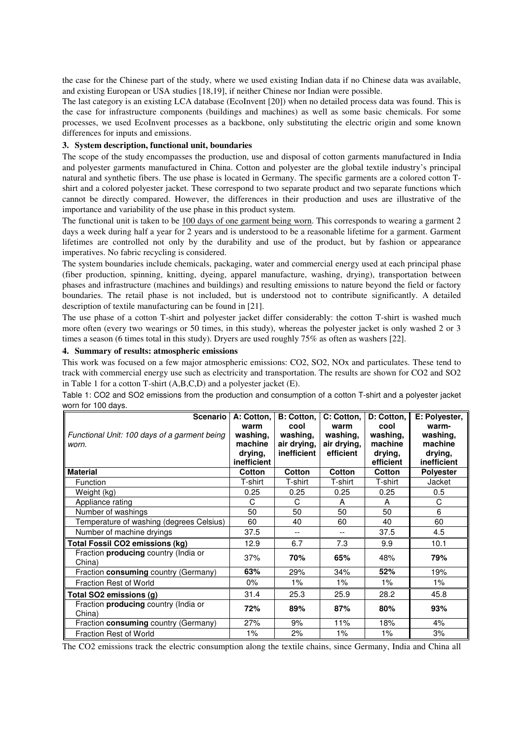the case for the Chinese part of the study, where we used existing Indian data if no Chinese data was available, and existing European or USA studies [18,19], if neither Chinese nor Indian were possible.

The last category is an existing LCA database (EcoInvent [20]) when no detailed process data was found. This is the case for infrastructure components (buildings and machines) as well as some basic chemicals. For some processes, we used EcoInvent processes as a backbone, only substituting the electric origin and some known differences for inputs and emissions.

## **3. System description, functional unit, boundaries**

The scope of the study encompasses the production, use and disposal of cotton garments manufactured in India and polyester garments manufactured in China. Cotton and polyester are the global textile industry's principal natural and synthetic fibers. The use phase is located in Germany. The specific garments are a colored cotton Tshirt and a colored polyester jacket. These correspond to two separate product and two separate functions which cannot be directly compared. However, the differences in their production and uses are illustrative of the importance and variability of the use phase in this product system.

The functional unit is taken to be  $100$  days of one garment being worn. This corresponds to wearing a garment 2 days a week during half a year for 2 years and is understood to be a reasonable lifetime for a garment. Garment lifetimes are controlled not only by the durability and use of the product, but by fashion or appearance imperatives. No fabric recycling is considered.

The system boundaries include chemicals, packaging, water and commercial energy used at each principal phase (fiber production, spinning, knitting, dyeing, apparel manufacture, washing, drying), transportation between phases and infrastructure (machines and buildings) and resulting emissions to nature beyond the field or factory boundaries. The retail phase is not included, but is understood not to contribute significantly. A detailed description of textile manufacturing can be found in [21].

The use phase of a cotton T-shirt and polyester jacket differ considerably: the cotton T-shirt is washed much more often (every two wearings or 50 times, in this study), whereas the polyester jacket is only washed 2 or 3 times a season (6 times total in this study). Dryers are used roughly 75% as often as washers [22].

# **4. Summary of results: atmospheric emissions**

This work was focused on a few major atmospheric emissions: CO2, SO2, NOx and particulates. These tend to track with commercial energy use such as electricity and transportation. The results are shown for CO2 and SO2 in Table 1 for a cotton T-shirt (A,B,C,D) and a polyester jacket (E).

| <b>Scenario</b><br>Functional Unit: 100 days of a garment being<br>worn. | A: Cotton.<br>warm<br>washing,<br>machine<br>drying,<br>inefficient | B: Cotton,<br>cool<br>washing,<br>air drying,<br>inefficient | C: Cotton,<br>warm<br>washing,<br>air drying,<br>efficient | D: Cotton,<br>cool<br>washing,<br>machine<br>drying,<br>efficient | E: Polyester.<br>warm-<br>washing,<br>machine<br>drying,<br>inefficient |
|--------------------------------------------------------------------------|---------------------------------------------------------------------|--------------------------------------------------------------|------------------------------------------------------------|-------------------------------------------------------------------|-------------------------------------------------------------------------|
| <b>Material</b>                                                          | <b>Cotton</b>                                                       | Cotton                                                       | Cotton                                                     | <b>Cotton</b>                                                     | <b>Polyester</b>                                                        |
| Function                                                                 | T-shirt                                                             | T-shirt                                                      | T-shirt                                                    | T-shirt                                                           | Jacket                                                                  |
| Weight (kg)                                                              | 0.25                                                                | 0.25                                                         | 0.25                                                       | 0.25                                                              | 0.5                                                                     |
| Appliance rating                                                         | C                                                                   | C                                                            | A                                                          | A                                                                 | C                                                                       |
| Number of washings                                                       | 50                                                                  | 50                                                           | 50                                                         | 50                                                                | 6                                                                       |
| Temperature of washing (degrees Celsius)                                 | 60                                                                  | 40                                                           | 60                                                         | 40                                                                | 60                                                                      |
| Number of machine dryings                                                | 37.5                                                                |                                                              | --                                                         | 37.5                                                              | 4.5                                                                     |
| Total Fossil CO2 emissions (kg)                                          | 12.9                                                                | 6.7                                                          | 7.3                                                        | 9.9                                                               | 10.1                                                                    |
| Fraction <b>producing</b> country (India or<br>China)                    | 37%                                                                 | 70%                                                          | 65%                                                        | 48%                                                               | 79%                                                                     |
| Fraction consuming country (Germany)                                     | 63%                                                                 | 29%                                                          | 34%                                                        | 52%                                                               | 19%                                                                     |
| Fraction Rest of World                                                   | $0\%$                                                               | $1\%$                                                        | 1%                                                         | $1\%$                                                             | $1\%$                                                                   |
| Total SO2 emissions (g)                                                  | 31.4                                                                | 25.3                                                         | 25.9                                                       | 28.2                                                              | 45.8                                                                    |
| Fraction producing country (India or<br>China)                           | 72%                                                                 | 89%                                                          | 87%                                                        | 80%                                                               | 93%                                                                     |
| Fraction consuming country (Germany)                                     | 27%                                                                 | 9%                                                           | 11%                                                        | 18%                                                               | 4%                                                                      |
| Fraction Rest of World                                                   | $1\%$                                                               | 2%                                                           | 1%                                                         | 1%                                                                | 3%                                                                      |

Table 1: CO2 and SO2 emissions from the production and consumption of a cotton T-shirt and a polyester jacket worn for 100 days.

The CO2 emissions track the electric consumption along the textile chains, since Germany, India and China all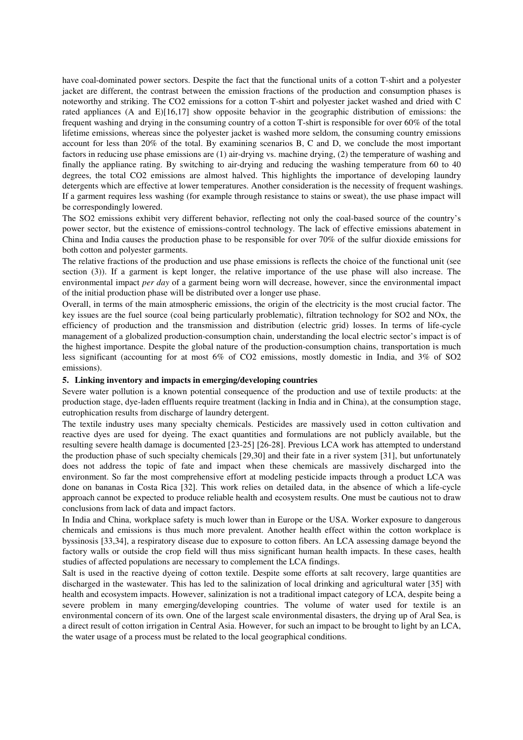have coal-dominated power sectors. Despite the fact that the functional units of a cotton T-shirt and a polyester jacket are different, the contrast between the emission fractions of the production and consumption phases is noteworthy and striking. The CO2 emissions for a cotton T-shirt and polyester jacket washed and dried with C rated appliances (A and E)[16,17] show opposite behavior in the geographic distribution of emissions: the frequent washing and drying in the consuming country of a cotton T-shirt is responsible for over 60% of the total lifetime emissions, whereas since the polyester jacket is washed more seldom, the consuming country emissions account for less than 20% of the total. By examining scenarios B, C and D, we conclude the most important factors in reducing use phase emissions are (1) air-drying vs. machine drying, (2) the temperature of washing and finally the appliance rating. By switching to air-drying and reducing the washing temperature from 60 to 40 degrees, the total CO2 emissions are almost halved. This highlights the importance of developing laundry detergents which are effective at lower temperatures. Another consideration is the necessity of frequent washings. If a garment requires less washing (for example through resistance to stains or sweat), the use phase impact will be correspondingly lowered.

The SO2 emissions exhibit very different behavior, reflecting not only the coal-based source of the country's power sector, but the existence of emissions-control technology. The lack of effective emissions abatement in China and India causes the production phase to be responsible for over 70% of the sulfur dioxide emissions for both cotton and polyester garments.

The relative fractions of the production and use phase emissions is reflects the choice of the functional unit (see section (3)). If a garment is kept longer, the relative importance of the use phase will also increase. The environmental impact *per day* of a garment being worn will decrease, however, since the environmental impact of the initial production phase will be distributed over a longer use phase.

Overall, in terms of the main atmospheric emissions, the origin of the electricity is the most crucial factor. The key issues are the fuel source (coal being particularly problematic), filtration technology for SO2 and NOx, the efficiency of production and the transmission and distribution (electric grid) losses. In terms of life-cycle management of a globalized production-consumption chain, understanding the local electric sector's impact is of the highest importance. Despite the global nature of the production-consumption chains, transportation is much less significant (accounting for at most 6% of CO2 emissions, mostly domestic in India, and 3% of SO2 emissions).

## **5. Linking inventory and impacts in emerging/developing countries**

Severe water pollution is a known potential consequence of the production and use of textile products: at the production stage, dye-laden effluents require treatment (lacking in India and in China), at the consumption stage, eutrophication results from discharge of laundry detergent.

The textile industry uses many specialty chemicals. Pesticides are massively used in cotton cultivation and reactive dyes are used for dyeing. The exact quantities and formulations are not publicly available, but the resulting severe health damage is documented [23-25] [26-28]. Previous LCA work has attempted to understand the production phase of such specialty chemicals [29,30] and their fate in a river system [31], but unfortunately does not address the topic of fate and impact when these chemicals are massively discharged into the environment. So far the most comprehensive effort at modeling pesticide impacts through a product LCA was done on bananas in Costa Rica [32]. This work relies on detailed data, in the absence of which a life-cycle approach cannot be expected to produce reliable health and ecosystem results. One must be cautious not to draw conclusions from lack of data and impact factors.

In India and China, workplace safety is much lower than in Europe or the USA. Worker exposure to dangerous chemicals and emissions is thus much more prevalent. Another health effect within the cotton workplace is byssinosis [33,34], a respiratory disease due to exposure to cotton fibers. An LCA assessing damage beyond the factory walls or outside the crop field will thus miss significant human health impacts. In these cases, health studies of affected populations are necessary to complement the LCA findings.

Salt is used in the reactive dyeing of cotton textile. Despite some efforts at salt recovery, large quantities are discharged in the wastewater. This has led to the salinization of local drinking and agricultural water [35] with health and ecosystem impacts. However, salinization is not a traditional impact category of LCA, despite being a severe problem in many emerging/developing countries. The volume of water used for textile is an environmental concern of its own. One of the largest scale environmental disasters, the drying up of Aral Sea, is a direct result of cotton irrigation in Central Asia. However, for such an impact to be brought to light by an LCA, the water usage of a process must be related to the local geographical conditions.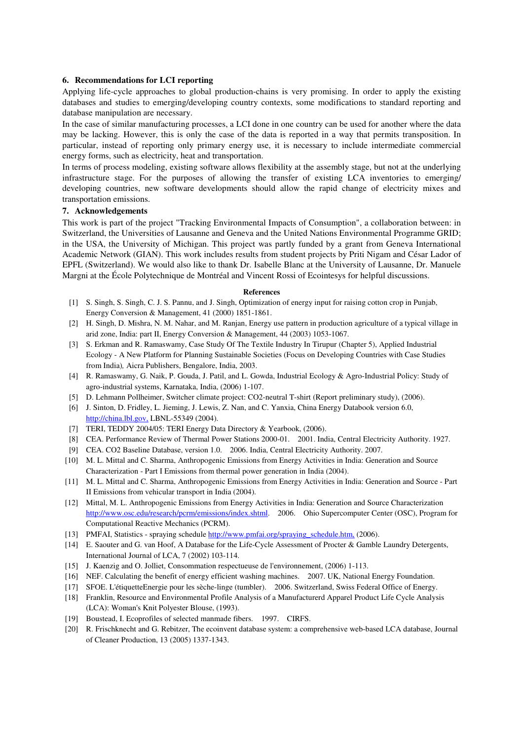#### **6. Recommendations for LCI reporting**

Applying life-cycle approaches to global production-chains is very promising. In order to apply the existing databases and studies to emerging/developing country contexts, some modifications to standard reporting and database manipulation are necessary.

In the case of similar manufacturing processes, a LCI done in one country can be used for another where the data may be lacking. However, this is only the case of the data is reported in a way that permits transposition. In particular, instead of reporting only primary energy use, it is necessary to include intermediate commercial energy forms, such as electricity, heat and transportation.

In terms of process modeling, existing software allows flexibility at the assembly stage, but not at the underlying infrastructure stage. For the purposes of allowing the transfer of existing LCA inventories to emerging/ developing countries, new software developments should allow the rapid change of electricity mixes and transportation emissions.

# **7. Acknowledgements**

This work is part of the project "Tracking Environmental Impacts of Consumption", a collaboration between: in Switzerland, the Universities of Lausanne and Geneva and the United Nations Environmental Programme GRID; in the USA, the University of Michigan. This project was partly funded by a grant from Geneva International Academic Network (GIAN). This work includes results from student projects by Priti Nigam and César Lador of EPFL (Switzerland). We would also like to thank Dr. Isabelle Blanc at the University of Lausanne, Dr. Manuele Margni at the École Polytechnique de Montréal and Vincent Rossi of Ecointesys for helpful discussions.

#### **References**

- [1] S. Singh, S. Singh, C. J. S. Pannu, and J. Singh, Optimization of energy input for raising cotton crop in Punjab, Energy Conversion & Management, 41 (2000) 1851-1861.
- [2] H. Singh, D. Mishra, N. M. Nahar, and M. Ranjan, Energy use pattern in production agriculture of a typical village in arid zone, India: part II, Energy Conversion & Management, 44 (2003) 1053-1067.
- [3] S. Erkman and R. Ramaswamy, Case Study Of The Textile Industry In Tirupur (Chapter 5), Applied Industrial Ecology - A New Platform for Planning Sustainable Societies (Focus on Developing Countries with Case Studies from India)*,* Aicra Publishers, Bengalore, India, 2003.
- [4] R. Ramaswamy, G. Naik, P. Gouda, J. Patil, and L. Gowda, Industrial Ecology & Agro-Industrial Policy: Study of agro-industrial systems, Karnataka, India, (2006) 1-107.
- [5] D. Lehmann Pollheimer, Switcher climate project: CO2-neutral T-shirt (Report preliminary study), (2006).
- [6] J. Sinton, D. Fridley, L. Jieming, J. Lewis, Z. Nan, and C. Yanxia, China Energy Databook version 6.0, http://china.lbl.gov, LBNL-55349 (2004).
- [7] TERI, TEDDY 2004/05: TERI Energy Data Directory & Yearbook, (2006).
- [8] CEA. Performance Review of Thermal Power Stations 2000-01. 2001. India, Central Electricity Authority. 1927.
- [9] CEA. CO2 Baseline Database, version 1.0. 2006. India, Central Electricity Authority. 2007.
- [10] M. L. Mittal and C. Sharma, Anthropogenic Emissions from Energy Activities in India: Generation and Source Characterization - Part I Emissions from thermal power generation in India (2004).
- [11] M. L. Mittal and C. Sharma, Anthropogenic Emissions from Energy Activities in India: Generation and Source Part II Emissions from vehicular transport in India (2004).
- [12] Mittal, M. L. Anthropogenic Emissions from Energy Activities in India: Generation and Source Characterization http://www.osc.edu/research/pcrm/emissions/index.shtml. 2006. Ohio Supercomputer Center (OSC), Program for Computational Reactive Mechanics (PCRM).
- [13] PMFAI, Statistics spraying schedule http://www.pmfai.org/spraying\_schedule.htm, (2006).
- [14] E. Saouter and G. van Hoof, A Database for the Life-Cycle Assessment of Procter & Gamble Laundry Detergents, International Journal of LCA, 7 (2002) 103-114.
- [15] J. Kaenzig and O. Jolliet, Consommation respectueuse de l'environnement, (2006) 1-113.
- [16] NEF. Calculating the benefit of energy efficient washing machines. 2007. UK, National Energy Foundation.
- [17] SFOE. L'étiquetteEnergie pour les sèche-linge (tumbler). 2006. Switzerland, Swiss Federal Office of Energy.
- [18] Franklin, Resource and Environmental Profile Analysis of a Manufacturerd Apparel Product Life Cycle Analysis (LCA): Woman's Knit Polyester Blouse, (1993).
- [19] Boustead, I. Ecoprofiles of selected manmade fibers. 1997. CIRFS.
- [20] R. Frischknecht and G. Rebitzer, The ecoinvent database system: a comprehensive web-based LCA database, Journal of Cleaner Production, 13 (2005) 1337-1343.